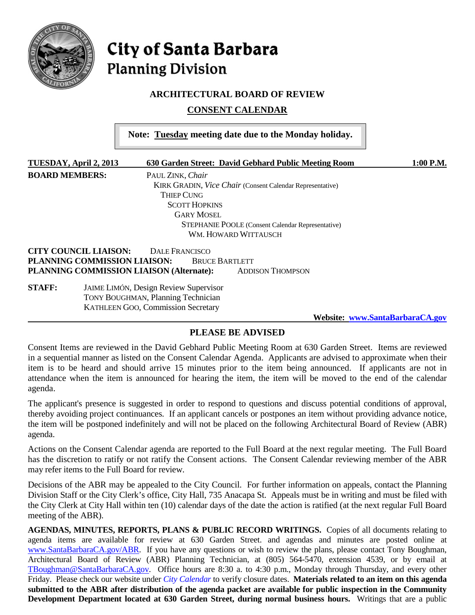

# **City of Santa Barbara Planning Division**

## **ARCHITECTURAL BOARD OF REVIEW**

**CONSENT CALENDAR**

|                              | Note: Tuesday meeting date due to the Monday holiday.                                     |           |
|------------------------------|-------------------------------------------------------------------------------------------|-----------|
| TUESDAY, April 2, 2013       | 630 Garden Street: David Gebhard Public Meeting Room                                      | 1:00 P.M. |
| <b>BOARD MEMBERS:</b>        | PAUL ZINK, Chair                                                                          |           |
|                              | KIRK GRADIN, Vice Chair (Consent Calendar Representative)                                 |           |
|                              | <b>THIEP CUNG</b>                                                                         |           |
|                              | <b>SCOTT HOPKINS</b>                                                                      |           |
|                              | <b>GARY MOSEL</b>                                                                         |           |
|                              | <b>STEPHANIE POOLE</b> (Consent Calendar Representative)                                  |           |
|                              | WM. HOWARD WITTAUSCH                                                                      |           |
| <b>CITY COUNCIL LIAISON:</b> | DALE FRANCISCO                                                                            |           |
| PLANNING COMMISSION LIAISON: | <b>BRUCE BARTLETT</b>                                                                     |           |
|                              | PLANNING COMMISSION LIAISON (Alternate):<br><b>ADDISON THOMPSON</b>                       |           |
| <b>STAFF:</b>                | <b>JAIME LIMÓN, Design Review Supervisor</b><br><b>TONY BOUGHMAN, Planning Technician</b> |           |

**Website: [www.SantaBarbaraCA.gov](http://www.santabarbaraca.gov/)**

# **PLEASE BE ADVISED**

KATHLEEN GOO, Commission Secretary

Consent Items are reviewed in the David Gebhard Public Meeting Room at 630 Garden Street. Items are reviewed in a sequential manner as listed on the Consent Calendar Agenda. Applicants are advised to approximate when their item is to be heard and should arrive 15 minutes prior to the item being announced. If applicants are not in attendance when the item is announced for hearing the item, the item will be moved to the end of the calendar agenda.

The applicant's presence is suggested in order to respond to questions and discuss potential conditions of approval, thereby avoiding project continuances. If an applicant cancels or postpones an item without providing advance notice, the item will be postponed indefinitely and will not be placed on the following Architectural Board of Review (ABR) agenda.

Actions on the Consent Calendar agenda are reported to the Full Board at the next regular meeting. The Full Board has the discretion to ratify or not ratify the Consent actions. The Consent Calendar reviewing member of the ABR may refer items to the Full Board for review.

Decisions of the ABR may be appealed to the City Council. For further information on appeals, contact the Planning Division Staff or the City Clerk's office, City Hall, 735 Anacapa St. Appeals must be in writing and must be filed with the City Clerk at City Hall within ten (10) calendar days of the date the action is ratified (at the next regular Full Board meeting of the ABR).

**AGENDAS, MINUTES, REPORTS, PLANS & PUBLIC RECORD WRITINGS.** Copies of all documents relating to agenda items are available for review at 630 Garden Street. and agendas and minutes are posted online at [www.SantaBarbaraCA.gov/ABR.](http://www.santabarbaraca.gov/ABR) If you have any questions or wish to review the plans, please contact Tony Boughman, Architectural Board of Review (ABR) Planning Technician, at (805) 564-5470, extension 4539, or by email at [TBoughman@SantaBarbaraCA.gov.](mailto:TBoughman@SantaBarbaraCA.gov) Office hours are 8:30 a. to 4:30 p.m., Monday through Thursday, and every other Friday. Please check our website under *City Calendar* to verify closure dates. **Materials related to an item on this agenda submitted to the ABR after distribution of the agenda packet are available for public inspection in the Community Development Department located at 630 Garden Street, during normal business hours.** Writings that are a public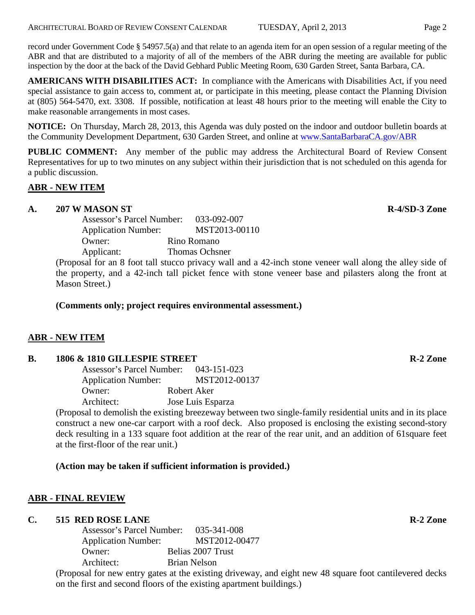record under Government Code § 54957.5(a) and that relate to an agenda item for an open session of a regular meeting of the ABR and that are distributed to a majority of all of the members of the ABR during the meeting are available for public inspection by the door at the back of the David Gebhard Public Meeting Room, 630 Garden Street, Santa Barbara, CA.

**AMERICANS WITH DISABILITIES ACT:** In compliance with the Americans with Disabilities Act, if you need special assistance to gain access to, comment at, or participate in this meeting, please contact the Planning Division at (805) 564-5470, ext. 3308. If possible, notification at least 48 hours prior to the meeting will enable the City to make reasonable arrangements in most cases.

**NOTICE:** On Thursday, March 28, 2013, this Agenda was duly posted on the indoor and outdoor bulletin boards at the Community Development Department, 630 Garden Street, and online at [www.SantaBarbaraCA.gov/ABR](http://www.santabarbaraca.gov/ABR)

**PUBLIC COMMENT:** Any member of the public may address the Architectural Board of Review Consent Representatives for up to two minutes on any subject within their jurisdiction that is not scheduled on this agenda for a public discussion.

# **ABR - NEW ITEM**

# **A. 207 W MASON ST R-4/SD-3 Zone**

Assessor's Parcel Number: 033-092-007 Application Number: MST2013-00110 Owner: Rino Romano Applicant: Thomas Ochsner

(Proposal for an 8 foot tall stucco privacy wall and a 42-inch stone veneer wall along the alley side of the property, and a 42-inch tall picket fence with stone veneer base and pilasters along the front at Mason Street.)

# **(Comments only; project requires environmental assessment.)**

## **ABR - NEW ITEM**

## **B. 1806 & 1810 GILLESPIE STREET R-2 Zone**

| Assessor's Parcel Number:  | 043-151-023       |
|----------------------------|-------------------|
| <b>Application Number:</b> | MST2012-00137     |
| Owner:                     | Robert Aker       |
| Architect:                 | Jose Luis Esparza |

(Proposal to demolish the existing breezeway between two single-family residential units and in its place construct a new one-car carport with a roof deck. Also proposed is enclosing the existing second-story deck resulting in a 133 square foot addition at the rear of the rear unit, and an addition of 61square feet at the first-floor of the rear unit.)

# **(Action may be taken if sufficient information is provided.)**

# **ABR - FINAL REVIEW**

## **C. 515 RED ROSE LANE R-2 Zone**

Assessor's Parcel Number: 035-341-008 Application Number: MST2012-00477 Owner: Belias 2007 Trust Architect: Brian Nelson

(Proposal for new entry gates at the existing driveway, and eight new 48 square foot cantilevered decks on the first and second floors of the existing apartment buildings.)